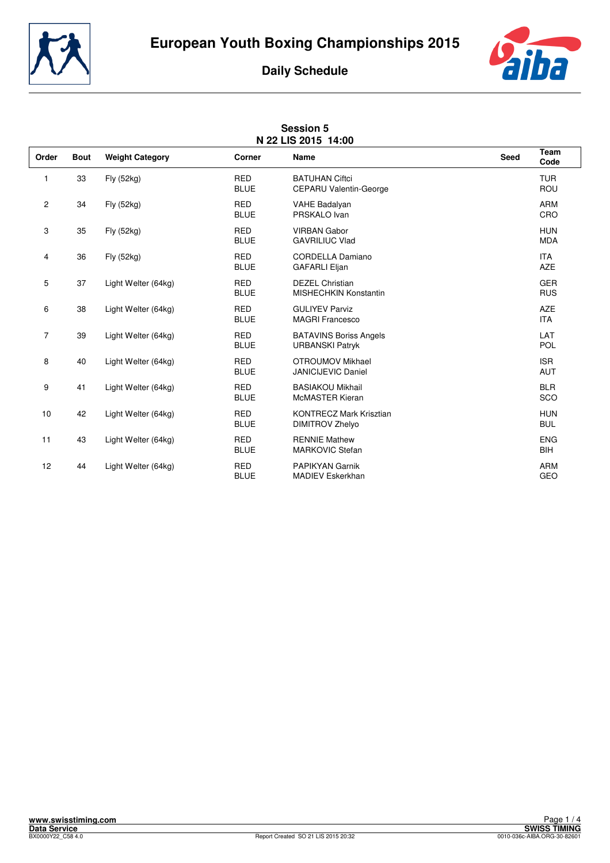



| <b>Session 5</b><br>N 22 LIS 2015 14:00 |             |                        |                           |                                                          |             |                          |
|-----------------------------------------|-------------|------------------------|---------------------------|----------------------------------------------------------|-------------|--------------------------|
| Order                                   | <b>Bout</b> | <b>Weight Category</b> | Corner                    | <b>Name</b>                                              | <b>Seed</b> | <b>Team</b><br>Code      |
| 1                                       | 33          | Fly (52kg)             | <b>RED</b><br><b>BLUE</b> | <b>BATUHAN Ciftci</b><br>CEPARU Valentin-George          |             | <b>TUR</b><br><b>ROU</b> |
| $\overline{c}$                          | 34          | Fly (52kg)             | <b>RED</b><br><b>BLUE</b> | <b>VAHE Badalyan</b><br>PRSKALO Ivan                     |             | <b>ARM</b><br>CRO        |
| 3                                       | 35          | Fly (52kg)             | <b>RED</b><br><b>BLUE</b> | <b>VIRBAN Gabor</b><br><b>GAVRILIUC Vlad</b>             |             | <b>HUN</b><br><b>MDA</b> |
| 4                                       | 36          | Fly (52kg)             | <b>RED</b><br><b>BLUE</b> | CORDELLA Damiano<br><b>GAFARLI Eljan</b>                 |             | <b>ITA</b><br><b>AZE</b> |
| 5                                       | 37          | Light Welter (64kg)    | <b>RED</b><br><b>BLUE</b> | <b>DEZEL Christian</b><br><b>MISHECHKIN Konstantin</b>   |             | <b>GER</b><br><b>RUS</b> |
| 6                                       | 38          | Light Welter (64kg)    | <b>RED</b><br><b>BLUE</b> | <b>GULIYEV Parviz</b><br><b>MAGRI Francesco</b>          |             | <b>AZE</b><br><b>ITA</b> |
| $\overline{7}$                          | 39          | Light Welter (64kg)    | <b>RED</b><br><b>BLUE</b> | <b>BATAVINS Boriss Angels</b><br><b>URBANSKI Patryk</b>  |             | LAT<br><b>POL</b>        |
| 8                                       | 40          | Light Welter (64kg)    | <b>RED</b><br><b>BLUE</b> | OTROUMOV Mikhael<br><b>JANICIJEVIC Daniel</b>            |             | <b>ISR</b><br><b>AUT</b> |
| 9                                       | 41          | Light Welter (64kg)    | <b>RED</b><br><b>BLUE</b> | <b>BASIAKOU Mikhail</b><br><b>McMASTER Kieran</b>        |             | <b>BLR</b><br>SCO        |
| 10                                      | 42          | Light Welter (64kg)    | <b>RED</b><br><b>BLUE</b> | <b>KONTRECZ Mark Krisztian</b><br><b>DIMITROV Zhelyo</b> |             | <b>HUN</b><br><b>BUL</b> |
| 11                                      | 43          | Light Welter (64kg)    | <b>RED</b><br><b>BLUE</b> | <b>RENNIE Mathew</b><br><b>MARKOVIC Stefan</b>           |             | <b>ENG</b><br>BIH        |
| 12                                      | 44          | Light Welter (64kg)    | <b>RED</b><br><b>BLUE</b> | <b>PAPIKYAN Garnik</b><br><b>MADIEV Eskerkhan</b>        |             | <b>ARM</b><br><b>GEO</b> |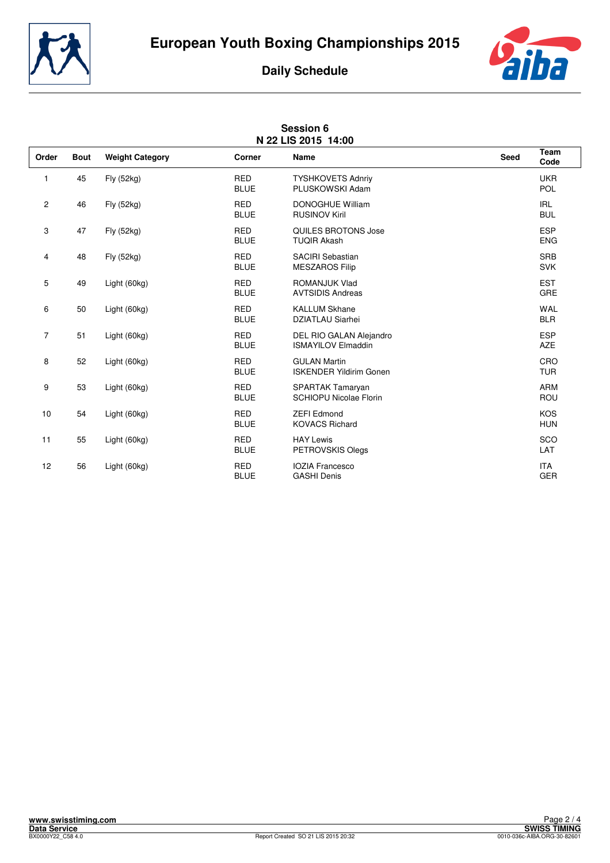



|                | N 22 LIS 2015 14:00 |                        |                           |                                                          |      |                          |  |
|----------------|---------------------|------------------------|---------------------------|----------------------------------------------------------|------|--------------------------|--|
| Order          | <b>Bout</b>         | <b>Weight Category</b> | Corner                    | Name                                                     | Seed | <b>Team</b><br>Code      |  |
| 1              | 45                  | Fly (52kg)             | <b>RED</b><br><b>BLUE</b> | <b>TYSHKOVETS Adnriv</b><br>PLUSKOWSKI Adam              |      | <b>UKR</b><br>POL        |  |
| $\overline{c}$ | 46                  | Fly (52kg)             | <b>RED</b><br><b>BLUE</b> | <b>DONOGHUE William</b><br><b>RUSINOV Kiril</b>          |      | <b>IRL</b><br><b>BUL</b> |  |
| 3              | 47                  | Fly (52kg)             | <b>RED</b><br><b>BLUE</b> | QUILES BROTONS Jose<br><b>TUQIR Akash</b>                |      | <b>ESP</b><br><b>ENG</b> |  |
| 4              | 48                  | Fly (52kg)             | <b>RED</b><br><b>BLUE</b> | <b>SACIRI Sebastian</b><br><b>MESZAROS Filip</b>         |      | <b>SRB</b><br><b>SVK</b> |  |
| 5              | 49                  | Light (60kg)           | <b>RED</b><br><b>BLUE</b> | ROMANJUK Vlad<br><b>AVTSIDIS Andreas</b>                 |      | <b>EST</b><br>GRE        |  |
| 6              | 50                  | Light (60kg)           | <b>RED</b><br><b>BLUE</b> | <b>KALLUM Skhane</b><br><b>DZIATLAU Siarhei</b>          |      | <b>WAL</b><br><b>BLR</b> |  |
| $\overline{7}$ | 51                  | Light (60kg)           | <b>RED</b><br><b>BLUE</b> | DEL RIO GALAN Alejandro<br><b>ISMAYILOV Elmaddin</b>     |      | <b>ESP</b><br><b>AZE</b> |  |
| 8              | 52                  | Light (60kg)           | <b>RED</b><br><b>BLUE</b> | <b>GULAN Martin</b><br><b>ISKENDER Yildirim Gonen</b>    |      | CRO<br><b>TUR</b>        |  |
| 9              | 53                  | Light (60kg)           | <b>RED</b><br><b>BLUE</b> | <b>SPARTAK Tamaryan</b><br><b>SCHIOPU Nicolae Florin</b> |      | <b>ARM</b><br>ROU        |  |
| 10             | 54                  | Light (60kg)           | <b>RED</b><br><b>BLUE</b> | <b>ZEFI Edmond</b><br><b>KOVACS Richard</b>              |      | <b>KOS</b><br><b>HUN</b> |  |
| 11             | 55                  | Light (60kg)           | <b>RED</b><br><b>BLUE</b> | <b>HAY Lewis</b><br>PETROVSKIS Olegs                     |      | SCO<br>LAT               |  |
| 12             | 56                  | Light (60kg)           | <b>RED</b><br><b>BLUE</b> | <b>IOZIA Francesco</b><br><b>GASHI Denis</b>             |      | <b>ITA</b><br><b>GER</b> |  |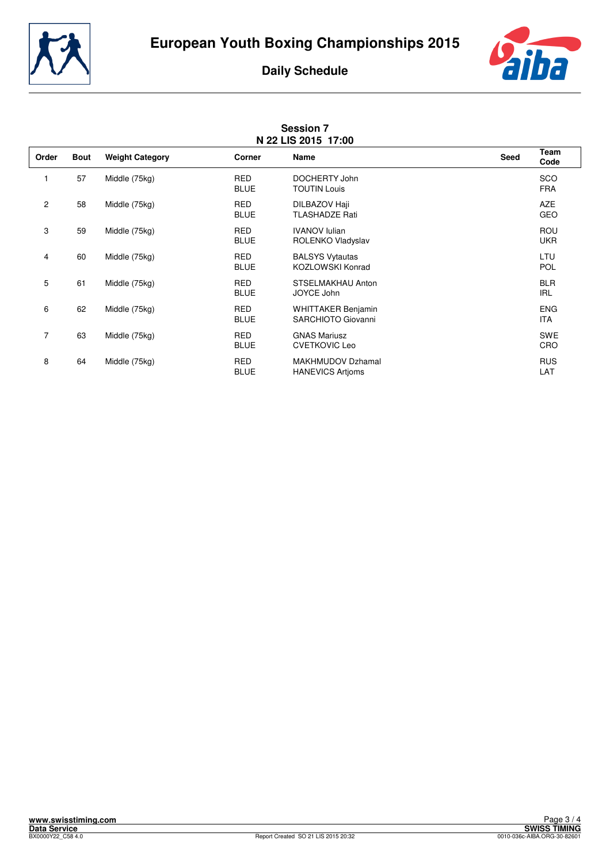



|       | <b>Session 7</b><br>N 22 LIS 2015 17:00 |                        |                           |                                                     |             |                          |
|-------|-----------------------------------------|------------------------|---------------------------|-----------------------------------------------------|-------------|--------------------------|
| Order | <b>Bout</b>                             | <b>Weight Category</b> | Corner                    | Name                                                | <b>Seed</b> | <b>Team</b><br>Code      |
|       | 57                                      | Middle (75kg)          | <b>RED</b><br><b>BLUE</b> | DOCHERTY John<br><b>TOUTIN Louis</b>                |             | SCO<br><b>FRA</b>        |
| 2     | 58                                      | Middle (75kg)          | <b>RED</b><br><b>BLUE</b> | DILBAZOV Haji<br><b>TLASHADZE Rati</b>              |             | <b>AZE</b><br>GEO        |
| 3     | 59                                      | Middle (75kg)          | <b>RED</b><br><b>BLUE</b> | <b>IVANOV lulian</b><br>ROLENKO Vladyslav           |             | <b>ROU</b><br><b>UKR</b> |
| 4     | 60                                      | Middle (75kg)          | <b>RED</b><br><b>BLUE</b> | <b>BALSYS Vytautas</b><br><b>KOZLOWSKI Konrad</b>   |             | LTU<br><b>POL</b>        |
| 5     | 61                                      | Middle (75kg)          | <b>RED</b><br><b>BLUE</b> | STSELMAKHAU Anton<br>JOYCE John                     |             | <b>BLR</b><br><b>IRL</b> |
| 6     | 62                                      | Middle (75kg)          | <b>RED</b><br><b>BLUE</b> | <b>WHITTAKER Benjamin</b><br>SARCHIOTO Giovanni     |             | <b>ENG</b><br><b>ITA</b> |
| 7     | 63                                      | Middle (75kg)          | <b>RED</b><br><b>BLUE</b> | <b>GNAS Mariusz</b><br><b>CVETKOVIC Leo</b>         |             | <b>SWE</b><br>CRO        |
| 8     | 64                                      | Middle (75kg)          | <b>RED</b><br><b>BLUE</b> | <b>MAKHMUDOV Dzhamal</b><br><b>HANEVICS Artioms</b> |             | <b>RUS</b><br>LAT        |